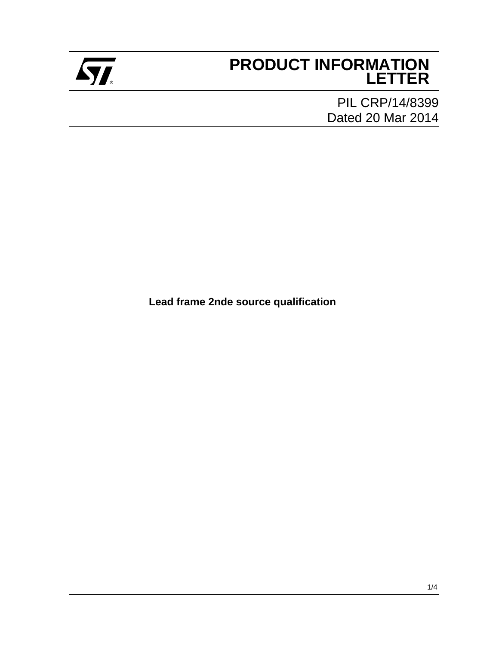

# **PRODUCT INFORMATION** ® **LETTER**

PIL CRP/14/8399 Dated 20 Mar 2014

**Lead frame 2nde source qualification**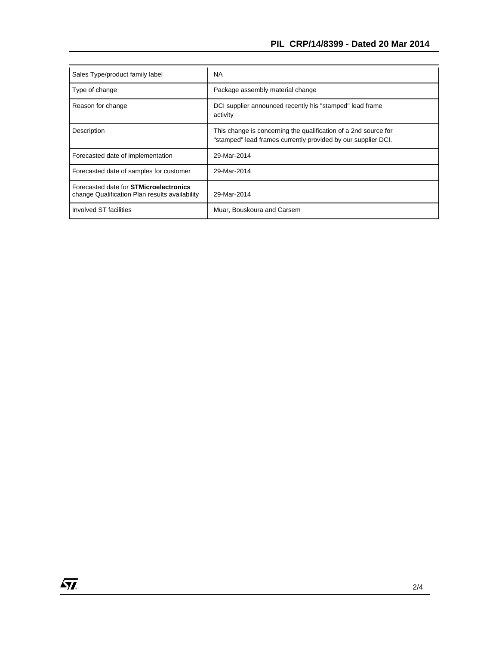| Sales Type/product family label                                                                 | <b>NA</b>                                                                                                                        |
|-------------------------------------------------------------------------------------------------|----------------------------------------------------------------------------------------------------------------------------------|
| Type of change                                                                                  | Package assembly material change                                                                                                 |
| Reason for change                                                                               | DCI supplier announced recently his "stamped" lead frame<br>activity                                                             |
| Description                                                                                     | This change is concerning the qualification of a 2nd source for<br>"stamped" lead frames currently provided by our supplier DCI. |
| Forecasted date of implementation                                                               | 29-Mar-2014                                                                                                                      |
| Forecasted date of samples for customer                                                         | 29-Mar-2014                                                                                                                      |
| Forecasted date for <b>STMicroelectronics</b><br>change Qualification Plan results availability | 29-Mar-2014                                                                                                                      |
| Involved ST facilities                                                                          | Muar, Bouskoura and Carsem                                                                                                       |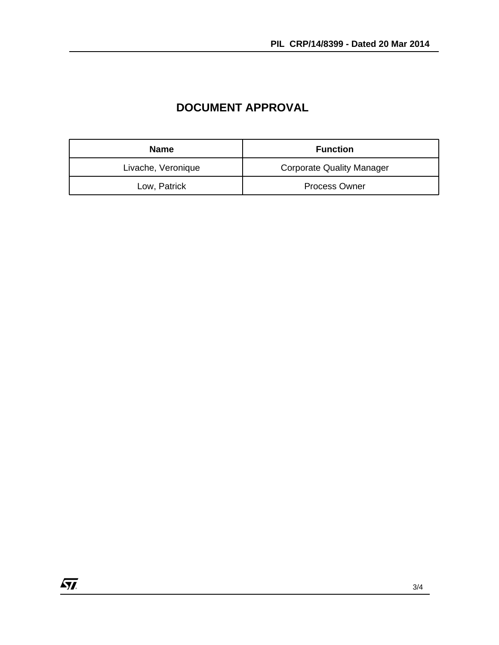| <b>Name</b>        | <b>Function</b>                  |
|--------------------|----------------------------------|
| Livache, Veronique | <b>Corporate Quality Manager</b> |
| Low, Patrick       | <b>Process Owner</b>             |

## **DOCUMENT APPROVAL**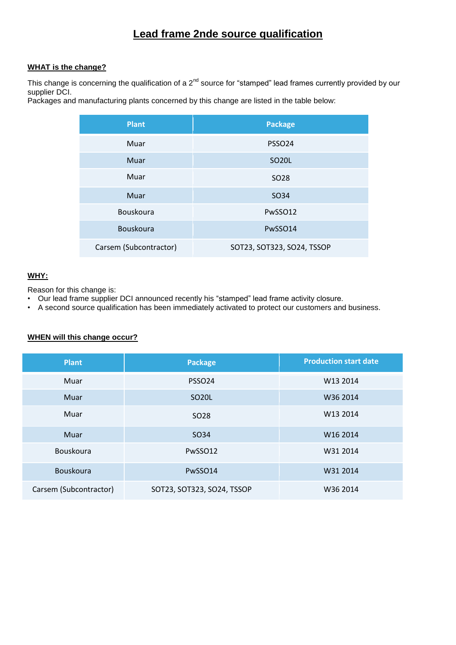## **Lead frame 2nde source qualification**

#### **WHAT is the change?**

This change is concerning the qualification of a  $2^{nd}$  source for "stamped" lead frames currently provided by our supplier DCI.

Packages and manufacturing plants concerned by this change are listed in the table below:

| <b>Plant</b>           | <b>Package</b>             |  |  |
|------------------------|----------------------------|--|--|
| Muar                   | PSSO <sub>24</sub>         |  |  |
| Muar                   | <b>SO20L</b>               |  |  |
| Muar                   | SO <sub>28</sub>           |  |  |
| Muar                   | SO34                       |  |  |
| Bouskoura              | PwSSO12                    |  |  |
| Bouskoura              | PwSSO14                    |  |  |
| Carsem (Subcontractor) | SOT23, SOT323, SO24, TSSOP |  |  |

### **WHY:**

Reason for this change is:

- Our lead frame supplier DCI announced recently his "stamped" lead frame activity closure.
- A second source qualification has been immediately activated to protect our customers and business.

#### **WHEN will this change occur?**

| <b>Plant</b>           | <b>Package</b>             | <b>Production start date</b> |  |
|------------------------|----------------------------|------------------------------|--|
| Muar                   | PSSO <sub>24</sub>         | W13 2014                     |  |
| Muar                   | SO <sub>20</sub> L         | W36 2014                     |  |
| Muar                   | SO <sub>28</sub>           | W13 2014                     |  |
| Muar                   | SO <sub>34</sub>           | W <sub>16</sub> 2014         |  |
| Bouskoura              | PwSSO12                    | W31 2014                     |  |
| Bouskoura              | PwSSO14                    | W31 2014                     |  |
| Carsem (Subcontractor) | SOT23, SOT323, SO24, TSSOP | W36 2014                     |  |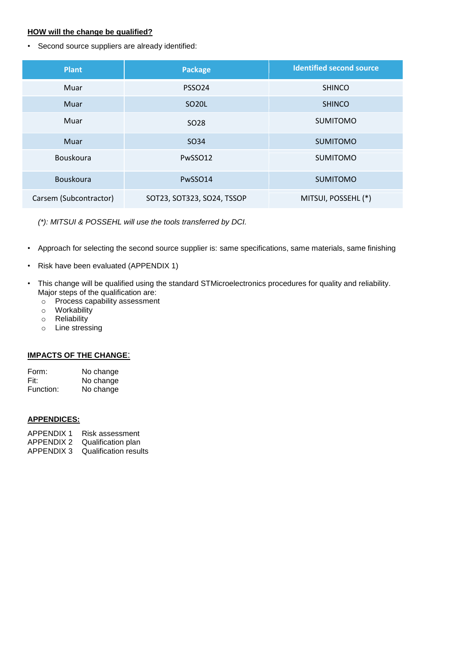#### **HOW will the change be qualified?**

• Second source suppliers are already identified:

| <b>Plant</b>           | <b>Package</b>             | <b>Identified second source</b> |  |
|------------------------|----------------------------|---------------------------------|--|
| Muar                   | PSSO <sub>24</sub>         | <b>SHINCO</b>                   |  |
| Muar                   | SO <sub>20</sub> L         | <b>SHINCO</b>                   |  |
| Muar                   | SO <sub>28</sub>           | <b>SUMITOMO</b>                 |  |
| Muar                   | SO34                       | <b>SUMITOMO</b>                 |  |
| Bouskoura              | PwSSO12                    | <b>SUMITOMO</b>                 |  |
| Bouskoura              | PwSSO14                    | <b>SUMITOMO</b>                 |  |
| Carsem (Subcontractor) | SOT23, SOT323, SO24, TSSOP | MITSUI, POSSEHL (*)             |  |

*(\*): MITSUI & POSSEHL will use the tools transferred by DCI.*

- Approach for selecting the second source supplier is: same specifications, same materials, same finishing
- Risk have been evaluated (APPENDIX 1)
- This change will be qualified using the standard STMicroelectronics procedures for quality and reliability. Major steps of the qualification are:
	- o Process capability assessment
	- o Workability
	- o Reliability
	- o Line stressing

#### **IMPACTS OF THE CHANGE**:

| Form:     | No change |
|-----------|-----------|
| Fit:      | No change |
| Function: | No change |

#### **APPENDICES:**

- APPENDIX 1 Risk assessment
- APPENDIX 2 Qualification plan
- APPENDIX 3 Qualification results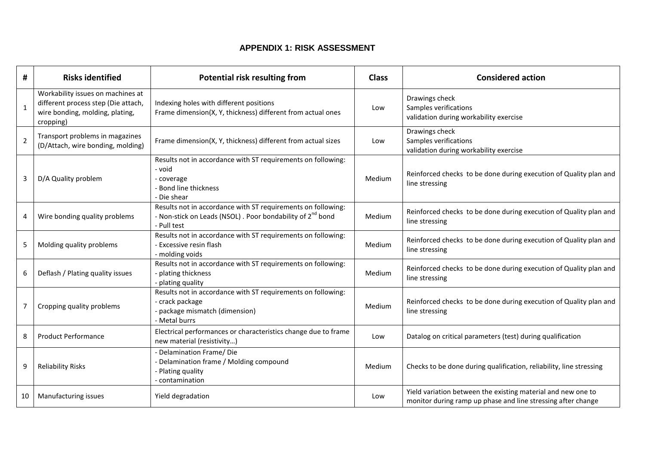### **APPENDIX 1: RISK ASSESSMENT**

| #              | <b>Risks identified</b>                                                                                                  | Potential risk resulting from                                                                                                                        | <b>Class</b> | <b>Considered action</b>                                                                                                     |
|----------------|--------------------------------------------------------------------------------------------------------------------------|------------------------------------------------------------------------------------------------------------------------------------------------------|--------------|------------------------------------------------------------------------------------------------------------------------------|
| 1              | Workability issues on machines at<br>different process step (Die attach,<br>wire bonding, molding, plating,<br>cropping) | Indexing holes with different positions<br>Frame dimension(X, Y, thickness) different from actual ones                                               | Low          | Drawings check<br>Samples verifications<br>validation during workability exercise                                            |
| $\overline{2}$ | Transport problems in magazines<br>(D/Attach, wire bonding, molding)                                                     | Frame dimension(X, Y, thickness) different from actual sizes                                                                                         | Low          | Drawings check<br>Samples verifications<br>validation during workability exercise                                            |
| 3              | D/A Quality problem                                                                                                      | Results not in accordance with ST requirements on following:<br>- void<br>- coverage<br>Bond line thickness<br>Die shear                             | Medium       | Reinforced checks to be done during execution of Quality plan and<br>line stressing                                          |
| 4              | Wire bonding quality problems                                                                                            | Results not in accordance with ST requirements on following:<br>- Non-stick on Leads (NSOL). Poor bondability of 2 <sup>nd</sup> bond<br>- Pull test | Medium       | Reinforced checks to be done during execution of Quality plan and<br>line stressing                                          |
| 5              | Molding quality problems                                                                                                 | Results not in accordance with ST requirements on following:<br>- Excessive resin flash<br>- molding voids                                           | Medium       | Reinforced checks to be done during execution of Quality plan and<br>line stressing                                          |
| 6              | Deflash / Plating quality issues                                                                                         | Results not in accordance with ST requirements on following:<br>- plating thickness<br>- plating quality                                             | Medium       | Reinforced checks to be done during execution of Quality plan and<br>line stressing                                          |
| 7              | Cropping quality problems                                                                                                | Results not in accordance with ST requirements on following:<br>- crack package<br>- package mismatch (dimension)<br>- Metal burrs                   | Medium       | Reinforced checks to be done during execution of Quality plan and<br>line stressing                                          |
| 8              | <b>Product Performance</b>                                                                                               | Electrical performances or characteristics change due to frame<br>new material (resistivity)                                                         | Low          | Datalog on critical parameters (test) during qualification                                                                   |
| 9              | <b>Reliability Risks</b>                                                                                                 | - Delamination Frame/ Die<br>- Delamination frame / Molding compound<br>- Plating quality<br>contamination                                           | Medium       | Checks to be done during qualification, reliability, line stressing                                                          |
| 10             | Manufacturing issues                                                                                                     | Yield degradation                                                                                                                                    | Low          | Yield variation between the existing material and new one to<br>monitor during ramp up phase and line stressing after change |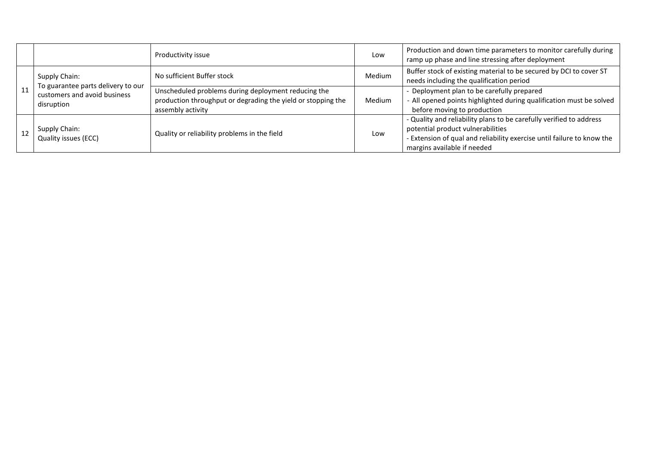|    |                                                                                                   | Productivity issue                                                                                                                       | Low    | Production and down time parameters to monitor carefully during<br>ramp up phase and line stressing after deployment                                                                                              |
|----|---------------------------------------------------------------------------------------------------|------------------------------------------------------------------------------------------------------------------------------------------|--------|-------------------------------------------------------------------------------------------------------------------------------------------------------------------------------------------------------------------|
| 11 | Supply Chain:<br>To guarantee parts delivery to our<br>customers and avoid business<br>disruption | No sufficient Buffer stock                                                                                                               | Medium | Buffer stock of existing material to be secured by DCI to cover ST<br>needs including the qualification period                                                                                                    |
|    |                                                                                                   | Unscheduled problems during deployment reducing the<br>production throughput or degrading the yield or stopping the<br>assembly activity | Medium | - Deployment plan to be carefully prepared<br>- All opened points highlighted during qualification must be solved<br>before moving to production                                                                  |
| 12 | Supply Chain:<br>Quality issues (ECC)                                                             | Quality or reliability problems in the field                                                                                             | Low    | - Quality and reliability plans to be carefully verified to address<br>potential product vulnerabilities<br>- Extension of qual and reliability exercise until failure to know the<br>margins available if needed |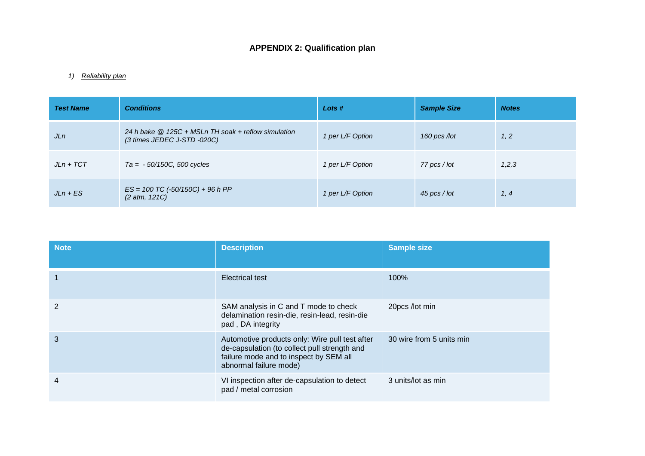## **APPENDIX 2: Qualification plan**

#### *1) Reliability plan*

| <b>Test Name</b> | <b>Conditions</b>                                                                            | Lots #           | <b>Sample Size</b> | <b>Notes</b> |
|------------------|----------------------------------------------------------------------------------------------|------------------|--------------------|--------------|
| JLn              | 24 h bake @ 125C + MSLn TH soak + reflow simulation<br>$(3 \text{ times JEDEC J-STD} -020C)$ | 1 per L/F Option | 160 pcs /lot       | 1, 2         |
| $JLn + TCT$      | $Ta = -50/150C, 500$ cycles                                                                  | 1 per L/F Option | 77 pcs / lot       | 1,2,3        |
| $JLn + ES$       | $ES = 100 TC (-50/150C) + 96 h PP$<br>(2 atm, 121C)                                          | 1 per L/F Option | 45 pcs / lot       | 1, 4         |

| <b>Note</b> | <b>Description</b>                                                                                                                                                 | <b>Sample size</b>       |
|-------------|--------------------------------------------------------------------------------------------------------------------------------------------------------------------|--------------------------|
|             | <b>Electrical test</b>                                                                                                                                             | 100%                     |
| 2           | SAM analysis in C and T mode to check<br>delamination resin-die, resin-lead, resin-die<br>pad, DA integrity                                                        | 20pcs /lot min           |
| 3           | Automotive products only: Wire pull test after<br>de-capsulation (to collect pull strength and<br>failure mode and to inspect by SEM all<br>abnormal failure mode) | 30 wire from 5 units min |
| 4           | VI inspection after de-capsulation to detect<br>pad / metal corrosion                                                                                              | 3 units/lot as min       |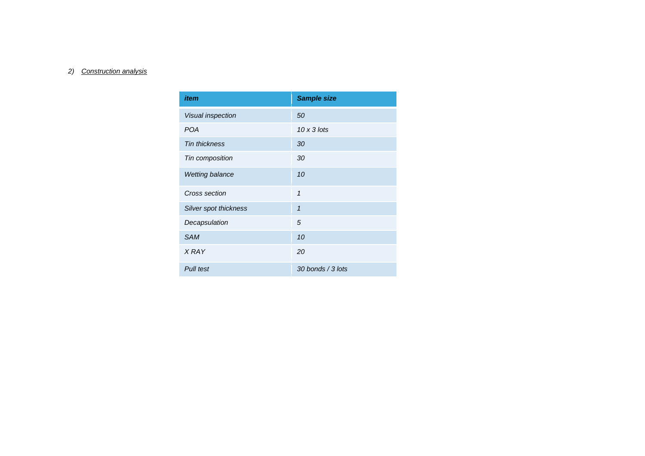#### *2) Construction analysis*

| item                   | <b>Sample size</b> |
|------------------------|--------------------|
| Visual inspection      | 50                 |
| <b>POA</b>             | $10 \times 3$ lots |
| <b>Tin thickness</b>   | 30                 |
| Tin composition        | 30                 |
| <b>Wetting balance</b> | 10                 |
| Cross section          | 1                  |
| Silver spot thickness  | $\overline{1}$     |
| Decapsulation          | 5                  |
| <b>SAM</b>             | 10                 |
| <b>XRAY</b>            | 20                 |
| Pull test              | 30 bonds / 3 lots  |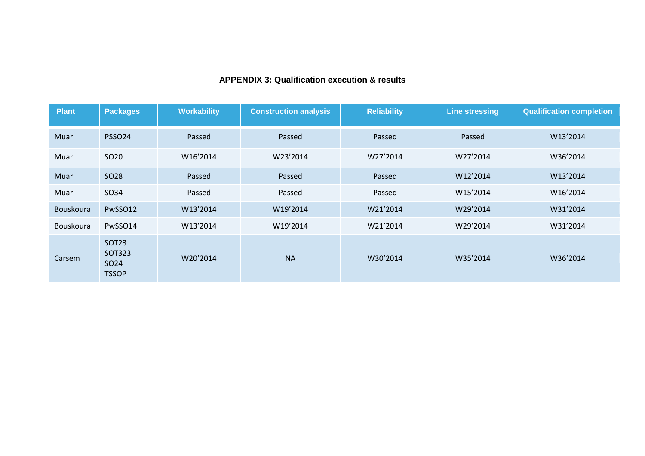### **APPENDIX 3: Qualification execution & results**

| <b>Plant</b> | <b>Packages</b>                                            | <b>Workability</b> | <b>Construction analysis</b> | <b>Reliability</b> | <b>Line stressing</b> | <b>Qualification completion</b> |
|--------------|------------------------------------------------------------|--------------------|------------------------------|--------------------|-----------------------|---------------------------------|
| Muar         | PSSO <sub>24</sub>                                         | Passed             | Passed                       | Passed             | Passed                | W13'2014                        |
| Muar         | SO <sub>20</sub>                                           | W16'2014           | W23'2014                     | W27'2014           | W27'2014              | W36'2014                        |
| Muar         | <b>SO28</b>                                                | Passed             | Passed                       | Passed             | W12'2014              | W13'2014                        |
| Muar         | SO34                                                       | Passed             | Passed                       | Passed             | W15'2014              | W16'2014                        |
| Bouskoura    | PwSSO12                                                    | W13'2014           | W19'2014                     | W21'2014           | W29'2014              | W31'2014                        |
| Bouskoura    | PwSSO14                                                    | W13'2014           | W19'2014                     | W21'2014           | W29'2014              | W31'2014                        |
| Carsem       | <b>SOT23</b><br>SOT323<br>SO <sub>24</sub><br><b>TSSOP</b> | W20'2014           | <b>NA</b>                    | W30'2014           | W35'2014              | W36'2014                        |